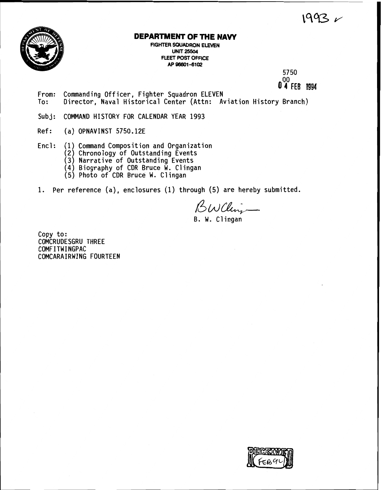$1993 -$ 



# **DEPARTMENT OF THE NAW**

**FIGHTER SQUADRON ELEVEN UNIT 25504 FLEET POST OFFICE AP 96601-6102** 

> **5750 0 4 FEB 1994**

- **From: Commanding Officer, Fighter Squadron ELEVEN To: Director, Naval Historical Center (Attn: Aviation History Branch)**
- **Subj: COMMAND HISTORY FOR CALENDAR YEAR 1993**
- **Ref: (a) OPNAVINST 5750.12E**
- **Encl** : **(1) Command Composition and Organization** 
	- **(2) Chronology of Outstanding Events**
	- **(3) Narrative of Outstanding Events**
	- **(4) Biography of CDR Bruce W. Cl ingan**
	- **(5) Photo of CDR Bruce W. Clingan**
- **1. Per reference (a), enclosures (1) through (5) are hereby submitted.**

 $Bwclim$ 

**B. W. Clingan** 

**Copy to: COMCRUDESGRU THREE COMFITWINGPAC COMCARAIRWING FOURTEEN** 

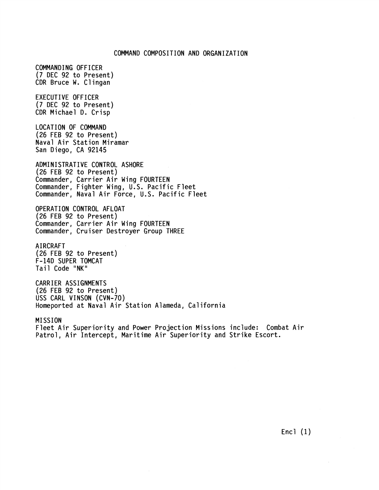### COMMAND COMPOSITION AND ORGANIZATION

COMMANDING OFFICER **(7** DEC 92 to Present) CDR Bruce W. Clingan EXECUTIVE OFFICER **(7** DEC 92 to Present) CDR Michael D. Crisp LOCATION OF COMMAND (26 FEB 92 to Present) Naval Air Station Miramar San Diego, CA 92145 ADMINISTRATIVE CONTROL ASHORE (26 FEB 92 to Present) Commander, Carrier Air Wing FOURTEEN Commander, Fighter Wing, U.S. Pacific Fleet Commander, Naval Air Force, U.S. Pacific Fleet OPERATION CONTROL AFLOAT (26 FEB 92 to Present) Commander, Carrier Air Wing FOURTEEN Commander, Cruiser Destroyer Group THREE A1 RCRAFT (26 FEB 92 to Present) F-14D SUPER TOMCAT Tail Code "NK" CARRIER ASSIGNMENTS (26 FEB 92 to Present) USS CARL VINSON (CVN-70) Homeported at Naval Air Station Alameda, California **MISSION** 

Fleet Air Superiority and Power Projection Missions include: Combat Air Patrol, Air Intercept, Maritime Air Superiority and Strike Escort.

Encl (1)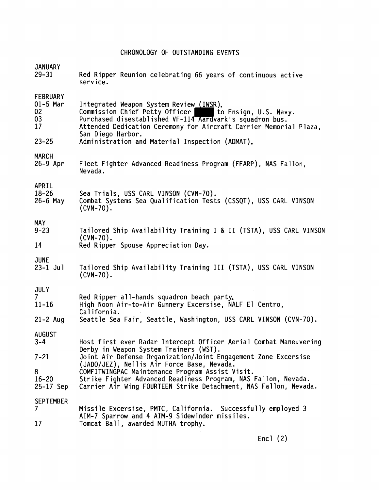# CHRONOLOGY OF OUTSTANDING EVENTS

| <b>JANUARY</b>                | Red Ripper Reunion celebrating 66 years of continuous active                                                                                                                                                                        |
|-------------------------------|-------------------------------------------------------------------------------------------------------------------------------------------------------------------------------------------------------------------------------------|
| $29 - 31$                     | service.                                                                                                                                                                                                                            |
| <b>FEBRUARY</b>               | Integrated Weapon System Review (IWSR).                                                                                                                                                                                             |
| $01-5$ Mar                    | Commission Chief Petty Officer to Ensign, U.S. Nav<br>Purchased disestablished VF-114 Aardvark's squadron bus.                                                                                                                      |
| 02                            | to Ensign, U.S. Navv.                                                                                                                                                                                                               |
| 03                            | Attended Dedication Ceremony for Aircraft Carrier Memorial Plaza,                                                                                                                                                                   |
| 17                            | San Diego Harbor.                                                                                                                                                                                                                   |
| $23 - 25$                     | Administration and Material Inspection (ADMAT).                                                                                                                                                                                     |
| <b>MARCH</b>                  | Fleet Fighter Advanced Readiness Program (FFARP), NAS Fallon,                                                                                                                                                                       |
| $26-9$ Apr                    | Nevada.                                                                                                                                                                                                                             |
| APRIL                         | Sea Trials, USS CARL VINSON (CVN-70).                                                                                                                                                                                               |
| $18 - 26$                     | Combat Systems Sea Qualification Tests (CSSQT), USS CARL VINSON                                                                                                                                                                     |
| $26-6$ May                    | $(CVN-70)$ .                                                                                                                                                                                                                        |
| <b>MAY</b>                    | Tailored Ship Availability Training I & II (TSTA), USS CARL VINSON                                                                                                                                                                  |
| $9 - 23$                      | $(CVN-70)$ .                                                                                                                                                                                                                        |
| 14                            | Red Ripper Spouse Appreciation Day.                                                                                                                                                                                                 |
| <b>JUNE</b>                   | Tailored Ship Availability Training III (TSTA), USS CARL VINSON                                                                                                                                                                     |
| $23 - 1$ Jul                  | $(CVN-70)$ .                                                                                                                                                                                                                        |
| <b>JULY</b>                   | Red Ripper all-hands squadron beach party.                                                                                                                                                                                          |
| 7 <sup>7</sup>                | High Noon Air-to-Air Gunnery Excersise, NALF El Centro,                                                                                                                                                                             |
| $11 - 16$                     | California.                                                                                                                                                                                                                         |
| $21 - 2$ Aug                  | Seattle Sea Fair, Seattle, Washington, USS CARL VINSON (CVN-70).                                                                                                                                                                    |
| <b>AUGUST</b><br>$3 - 4$      | Host first ever Radar Intercept Officer Aerial Combat Maneuvering                                                                                                                                                                   |
| $7 - 21$                      | Derby in Weapon System Trainers (WST).<br>Joint Air Defense Organization/Joint Engagement Zone Excersise                                                                                                                            |
| 8<br>$16 - 20$<br>$25-17$ Sep | (JADO/JEZ), Nellis Air Force Base, Nevada.<br>COMFITWINGPAC Maintenance Program Assist Visit.<br>Strike Fighter Advanced Readiness Program, NAS Fallon, Nevada.<br>Carrier Air Wing FOURTEEN Strike Detachment, NAS Fallon, Nevada. |
| <b>SEPTEMBER</b>              | Missile Excersise, PMTC, California. Successfully employed 3                                                                                                                                                                        |
| $\overline{7}$                | AIM-7 Sparrow and 4 AIM-9 Sidewinder missiles.                                                                                                                                                                                      |
| 17                            | Tomcat Ball, awarded MUTHA trophy.                                                                                                                                                                                                  |

Encl (2)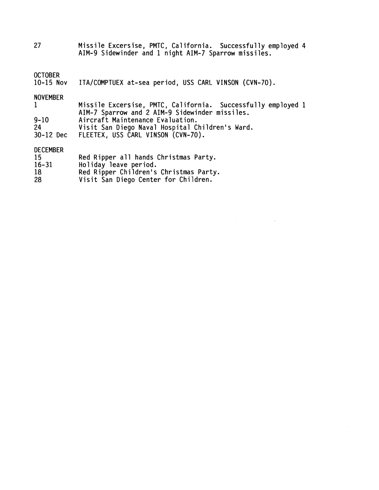27 Missile Excersise, PMTC, California. Successfully employed 4 AIM-9 Sidewinder and 1 night AIM-7 Sparrow missiles.

#### **OCTOBER**

10-15 Nov ITA/COMPTUEX at-sea period, USS CARL VINSON (CVN-70).

#### NOVEMBER

| <b>NUVEMBER</b> |                                                              |  |
|-----------------|--------------------------------------------------------------|--|
|                 | Missile Excersise, PMTC, California. Successfully employed 1 |  |
|                 | AIM-7 Sparrow and 2 AIM-9 Sidewinder missiles.               |  |
| .               |                                                              |  |

9-10 Aircraft Maintenance Evaluation.

24 Visit San Diego Naval Hospital Children's Ward.

30-12 Dec FLEETEX, USS CARL VINSON (CVN-70).

## DECEMBER

| 15        | Red Ripper all hands Christmas Party.  |
|-----------|----------------------------------------|
| $16 - 31$ | Holiday leave period.                  |
| 18        | Red Ripper Children's Christmas Party. |

28 Visit San Diego Center for Children.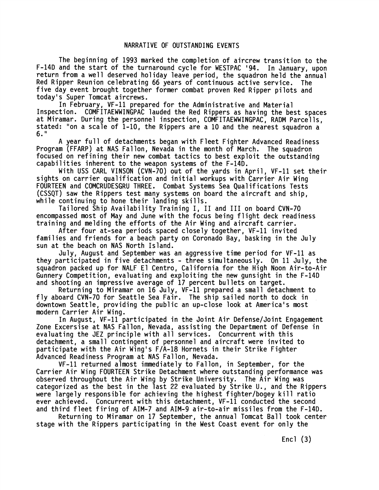The beginning of 1993 marked the completion of aircrew transition to the F-14D and the start of the turnaround cycle for WESTPAC '94. In January, upon return from a well deserved holiday leave period, the squadron held the annual Red Ripper Reunion celebrating 66 years of continuous active service. The five day event brought together former combat proven Red Ripper pilots and today's Super Tomcat aircrews.

In February, VF-11 prepared for the Administrative and Material Inspect ion. COMFITAEWWINGPAC lauded the Red Rippers as having the best spaces at Miramar. During the personnel inspection, COMFITAEWWINGPAC, RADM Parcells, stated: "on a scale of 1-10, the Rippers are a 10 and the nearest squadron a 6."

A year full of detachments began with Fleet Fighter Advanced Readiness Program (FFARP) at NAS Fallon, Nevada in the month of March. The squadron focused on refining their new combat tactics to best exploit the outstanding capabilities inherent to the weapon systems of the  $F-14D$ .

With USS CARL VINSON (CVN-70) out of the yards in April, VF-11 set their sights on carrier qualification and initial workups with Carrier Air Wing FOURTEEN and COMCRUDESGRU THREE. Combat Systems Sea Qualifications Tests (CSSQT) saw the Rippers test many systems on board the aircraft and ship, while continuing to hone their landing skills.

Tailored Ship Availability Training I, I1 and I11 on board CVN-70 encompassed most of May and June with the focus being flight deck readiness training and melding the efforts of the Air Wing and aircraft carrier.

After four at-sea periods spaced closely together, VF-11 invited families and friends for a beach party on Coronado Bay, basking in the July sun at the beach on NAS North Island.

July, August and September was an aggressive time period for VF-11 as they participated in five detachments - three simultaneously. On 11 July, the squadron packed up for NALF El Centro, California for the High Noon Air-to-Air Gunnery Competition, evaluating and exploiting the new gunsight in the F-14D and shooting an impressive average of 17 percent bullets on target.

Returning to Miramar on 16 July, VF-11 prepared a small detachment to fly aboard CVN-70 for Seattle Sea Fair. The ship sailed north to dock in downtown Seattle, providing the public an up-close look at America's most modern Carrier Air Wing.

In August, VF-11 participated in the Joint Air Defense/Joint Engagement Zone Excersise at NAS Fallon, Nevada, assisting the Department of Defense in evaluating the JEZ principle with all services. Concurrent with this detachment, a small contingent of personnel and aircraft were invited to participate with the Air Wing's F/A-18 Hornets in their Strike Fighter Advanced Readiness Program at NAS Fallon, Nevada.

VF-11 returned almost immediately to Fallon, in September, for the Carrier Air Wing FOURTEEN Strike Detachment where outstanding performance was observed throughout the Air Wing by Strike University. The Air Wing was categorized as the best in the last 22 evaluated by Strike **U.,** and the Rippers were largely responsible for achieving the highest fighter/bogey kill ratio ever achieved. Concurrent with this detachment, VF-11 conducted the second and third fleet firing of AIM-7 and AIM-9 air-to-air missiles from the F-14D.

Returning to Miramar on 17 September, the annual Tomcat Ball took center stage with the Rippers participating in the West Coast event for only the

Encl (3)